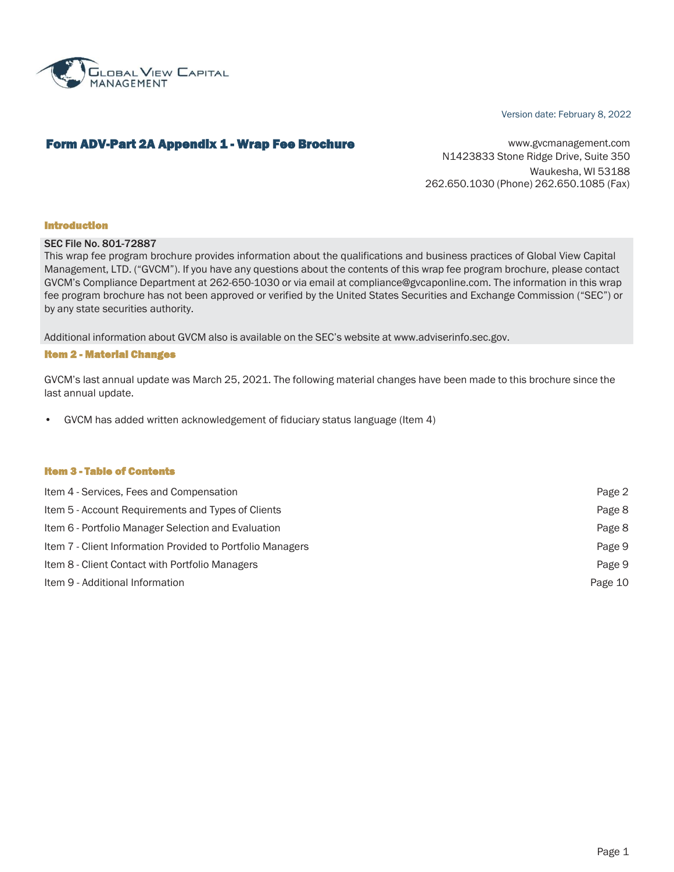

#### Version date: February 8, 2022

# Form ADV-Part 2A Appendix 1 - Wrap Fee Brochure Way 11 Marshall Music [www.gvcmanagement.com](http://www.gvcmanagement.com/)

N1423833 Stone Ridge Drive, Suite 350 Waukesha, WI 53188 262.650.1030 (Phone) 262.650.1085 (Fax)

#### Introduction

#### SEC File No. 801-72887

This wrap fee program brochure provides information about the qualifications and business practices of Global View Capital Management, LTD. ("GVCM"). If you have any questions about the contents of this wrap fee program brochure, please contact GVCM's Compliance Department at 262-650-1030 or via email at [compliance@gvcaponline.com.](mailto:compliance@gvcaponline.com) The information in this wrap fee program brochure has not been approved or verified by the United States Securities and Exchange Commission ("SEC") or by any state securities authority.

Additional information about GVCM also is available on the SEC's website at [www.adviserinfo.sec.gov.](http://www.adviserinfo.sec.gov/)

#### Item 2 - Material Changes

GVCM's last annual update was March 25, 2021. The following material changes have been made to this brochure since the last annual update.

• GVCM has added written acknowledgement of fiduciary status language (Item 4)

#### Item 3 - Table of Contents

| Item 4 - Services, Fees and Compensation                   | Page 2  |
|------------------------------------------------------------|---------|
| Item 5 - Account Requirements and Types of Clients         | Page 8  |
| Item 6 - Portfolio Manager Selection and Evaluation        | Page 8  |
| Item 7 - Client Information Provided to Portfolio Managers | Page 9  |
| Item 8 - Client Contact with Portfolio Managers            | Page 9  |
| Item 9 - Additional Information                            | Page 10 |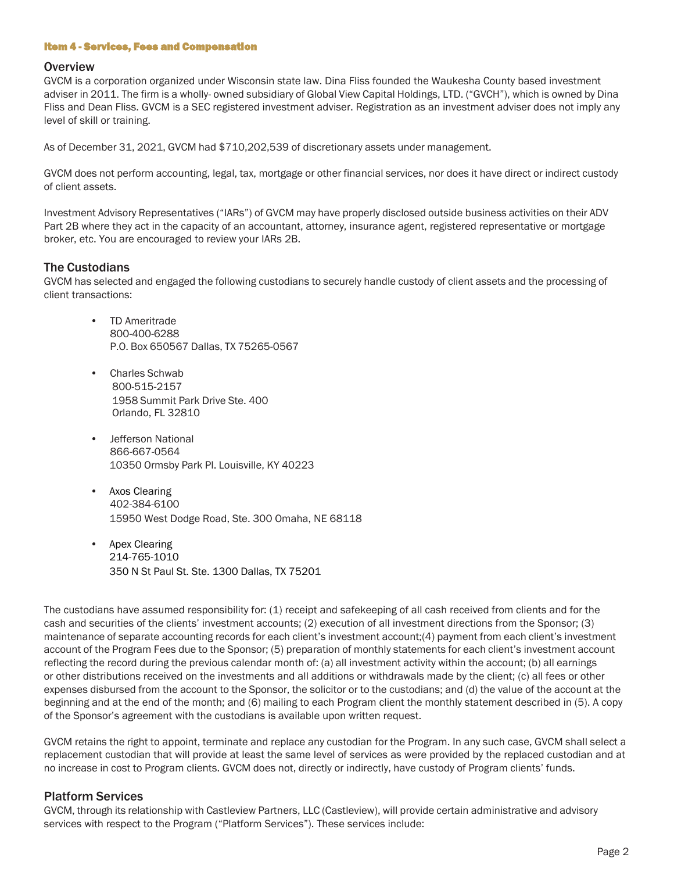### Item 4 - Services, Fees and Compensation

### **Overview**

GVCM is a corporation organized under Wisconsin state law. Dina Fliss founded the Waukesha County based investment adviser in 2011. The firm is a wholly- owned subsidiary of Global View Capital Holdings, LTD. ("GVCH"), which is owned by Dina Fliss and Dean Fliss. GVCM is a SEC registered investment adviser. Registration as an investment adviser does not imply any level of skill or training.

As of December 31, 2021, GVCM had \$710,202,539 of discretionary assets under management.

GVCM does not perform accounting, legal, tax, mortgage or other financial services, nor does it have direct or indirect custody of client assets.

Investment Advisory Representatives ("IARs") of GVCM may have properly disclosed outside business activities on their ADV Part 2B where they act in the capacity of an accountant, attorney, insurance agent, registered representative or mortgage broker, etc. You are encouraged to review your IARs 2B.

# The Custodians

GVCM has selected and engaged the following custodians to securely handle custody of client assets and the processing of client transactions:

- TD Ameritrade 800-400-6288 P.O. Box 650567 Dallas, TX 75265-0567
- Charles Schwab 800-515-2157 1958 Summit Park Drive Ste. 400 Orlando, FL 32810
- Jefferson National 866-667-0564 10350 Ormsby Park Pl. Louisville, KY 40223
- Axos Clearing 402-384-6100 15950 West Dodge Road, Ste. 300 Omaha, NE 68118
- Apex Clearing 214-765-1010 350 N St Paul St. Ste. 1300 Dallas, TX 75201

The custodians have assumed responsibility for: (1) receipt and safekeeping of all cash received from clients and for the cash and securities of the clients' investment accounts; (2) execution of all investment directions from the Sponsor; (3) maintenance of separate accounting records for each client's investment account;(4) payment from each client's investment account of the Program Fees due to the Sponsor; (5) preparation of monthly statements for each client's investment account reflecting the record during the previous calendar month of: (a) all investment activity within the account; (b) all earnings or other distributions received on the investments and all additions or withdrawals made by the client; (c) all fees or other expenses disbursed from the account to the Sponsor, the solicitor or to the custodians; and (d) the value of the account at the beginning and at the end of the month; and (6) mailing to each Program client the monthly statement described in (5). A copy of the Sponsor's agreement with the custodians is available upon written request.

GVCM retains the right to appoint, terminate and replace any custodian for the Program. In any such case, GVCM shall select a replacement custodian that will provide at least the same level of services as were provided by the replaced custodian and at no increase in cost to Program clients. GVCM does not, directly or indirectly, have custody of Program clients' funds.

# Platform Services

GVCM, through its relationship with Castleview Partners, LLC (Castleview), will provide certain administrative and advisory services with respect to the Program ("Platform Services"). These services include: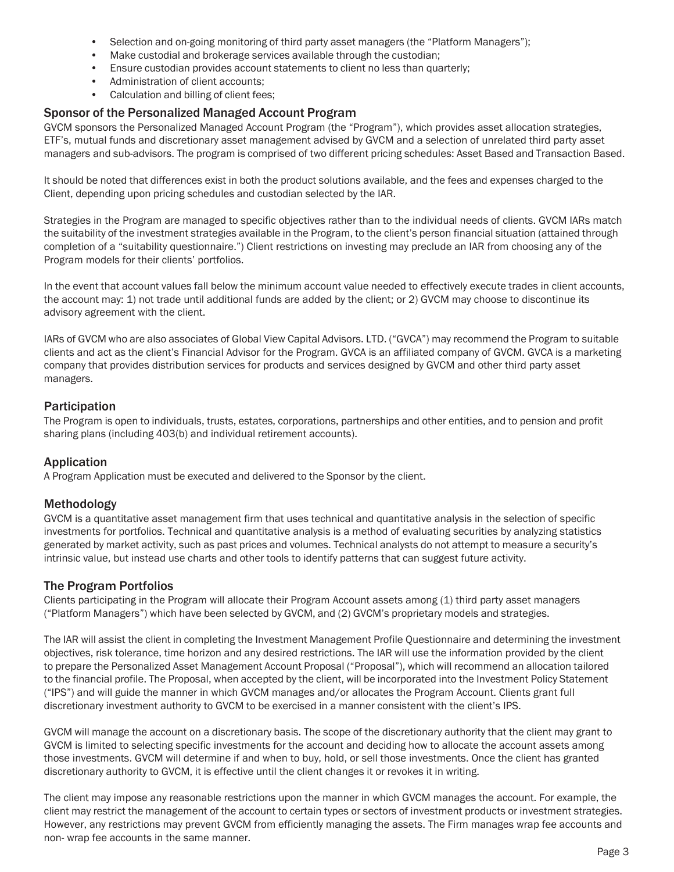- Selection and on-going monitoring of third party asset managers (the "Platform Managers");
- Make custodial and brokerage services available through the custodian;
- Ensure custodian provides account statements to client no less than quarterly;
- Administration of client accounts:
- Calculation and billing of client fees;

# Sponsor of the Personalized Managed Account Program

GVCM sponsors the Personalized Managed Account Program (the "Program"), which provides asset allocation strategies, ETF's, mutual funds and discretionary asset management advised by GVCM and a selection of unrelated third party asset managers and sub-advisors. The program is comprised of two different pricing schedules: Asset Based and Transaction Based.

It should be noted that differences exist in both the product solutions available, and the fees and expenses charged to the Client, depending upon pricing schedules and custodian selected by the IAR.

Strategies in the Program are managed to specific objectives rather than to the individual needs of clients. GVCM IARs match the suitability of the investment strategies available in the Program, to the client's person financial situation (attained through completion of a "suitability questionnaire.") Client restrictions on investing may preclude an IAR from choosing any of the Program models for their clients' portfolios.

In the event that account values fall below the minimum account value needed to effectively execute trades in client accounts, the account may: 1) not trade until additional funds are added by the client; or 2) GVCM may choose to discontinue its advisory agreement with the client.

IARs of GVCM who are also associates of Global View Capital Advisors. LTD. ("GVCA") may recommend the Program to suitable clients and act as the client's Financial Advisor for the Program. GVCA is an affiliated company of GVCM. GVCA is a marketing company that provides distribution services for products and services designed by GVCM and other third party asset managers.

# Participation

The Program is open to individuals, trusts, estates, corporations, partnerships and other entities, and to pension and profit sharing plans (including 403(b) and individual retirement accounts).

# Application

A Program Application must be executed and delivered to the Sponsor by the client.

# Methodology

GVCM is a quantitative asset management firm that uses technical and quantitative analysis in the selection of specific investments for portfolios. Technical and quantitative analysis is a method of evaluating securities by analyzing statistics generated by market activity, such as past prices and volumes. Technical analysts do not attempt to measure a security's intrinsic value, but instead use charts and other tools to identify patterns that can suggest future activity.

# The Program Portfolios

Clients participating in the Program will allocate their Program Account assets among (1) third party asset managers ("Platform Managers") which have been selected by GVCM, and (2) GVCM's proprietary models and strategies.

The IAR will assist the client in completing the Investment Management Profile Questionnaire and determining the investment objectives, risk tolerance, time horizon and any desired restrictions. The IAR will use the information provided by the client to prepare the Personalized Asset Management Account Proposal ("Proposal"), which will recommend an allocation tailored to the financial profile. The Proposal, when accepted by the client, will be incorporated into the Investment Policy Statement ("IPS") and will guide the manner in which GVCM manages and/or allocates the Program Account. Clients grant full discretionary investment authority to GVCM to be exercised in a manner consistent with the client's IPS.

GVCM will manage the account on a discretionary basis. The scope of the discretionary authority that the client may grant to GVCM is limited to selecting specific investments for the account and deciding how to allocate the account assets among those investments. GVCM will determine if and when to buy, hold, or sell those investments. Once the client has granted discretionary authority to GVCM, it is effective until the client changes it or revokes it in writing.

The client may impose any reasonable restrictions upon the manner in which GVCM manages the account. For example, the client may restrict the management of the account to certain types or sectors of investment products or investment strategies. However, any restrictions may prevent GVCM from efficiently managing the assets. The Firm manages wrap fee accounts and non- wrap fee accounts in the same manner.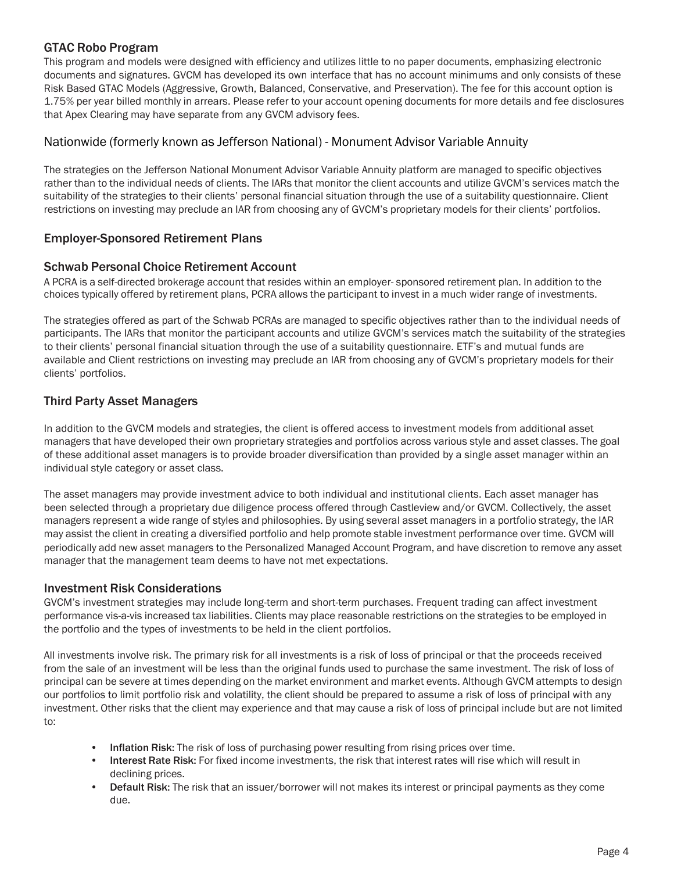# GTAC Robo Program

This program and models were designed with efficiency and utilizes little to no paper documents, emphasizing electronic documents and signatures. GVCM has developed its own interface that has no account minimums and only consists of these Risk Based GTAC Models (Aggressive, Growth, Balanced, Conservative, and Preservation). The fee for this account option is 1.75% per year billed monthly in arrears. Please refer to your account opening documents for more details and fee disclosures that Apex Clearing may have separate from any GVCM advisory fees.

# Nationwide (formerly known as Jefferson National) - Monument Advisor Variable Annuity

The strategies on the Jefferson National Monument Advisor Variable Annuity platform are managed to specific objectives rather than to the individual needs of clients. The IARs that monitor the client accounts and utilize GVCM's services match the suitability of the strategies to their clients' personal financial situation through the use of a suitability questionnaire. Client restrictions on investing may preclude an IAR from choosing any of GVCM's proprietary models for their clients' portfolios.

# Employer-Sponsored Retirement Plans

# Schwab Personal Choice Retirement Account

A PCRA is a self-directed brokerage account that resides within an employer- sponsored retirement plan. In addition to the choices typically offered by retirement plans, PCRA allows the participant to invest in a much wider range of investments.

The strategies offered as part of the Schwab PCRAs are managed to specific objectives rather than to the individual needs of participants. The IARs that monitor the participant accounts and utilize GVCM's services match the suitability of the strategies to their clients' personal financial situation through the use of a suitability questionnaire. ETF's and mutual funds are available and Client restrictions on investing may preclude an IAR from choosing any of GVCM's proprietary models for their clients' portfolios.

# Third Party Asset Managers

In addition to the GVCM models and strategies, the client is offered access to investment models from additional asset managers that have developed their own proprietary strategies and portfolios across various style and asset classes. The goal of these additional asset managers is to provide broader diversification than provided by a single asset manager within an individual style category or asset class.

The asset managers may provide investment advice to both individual and institutional clients. Each asset manager has been selected through a proprietary due diligence process offered through Castleview and/or GVCM. Collectively, the asset managers represent a wide range of styles and philosophies. By using several asset managers in a portfolio strategy, the IAR may assist the client in creating a diversified portfolio and help promote stable investment performance over time. GVCM will periodically add new asset managers to the Personalized Managed Account Program, and have discretion to remove any asset manager that the management team deems to have not met expectations.

# Investment Risk Considerations

GVCM's investment strategies may include long-term and short-term purchases. Frequent trading can affect investment performance vis-a-vis increased tax liabilities. Clients may place reasonable restrictions on the strategies to be employed in the portfolio and the types of investments to be held in the client portfolios.

All investments involve risk. The primary risk for all investments is a risk of loss of principal or that the proceeds received from the sale of an investment will be less than the original funds used to purchase the same investment. The risk of loss of principal can be severe at times depending on the market environment and market events. Although GVCM attempts to design our portfolios to limit portfolio risk and volatility, the client should be prepared to assume a risk of loss of principal with any investment. Other risks that the client may experience and that may cause a risk of loss of principal include but are not limited to:

- Inflation Risk: The risk of loss of purchasing power resulting from rising prices over time.
- Interest Rate Risk: For fixed income investments, the risk that interest rates will rise which will result in declining prices.
- Default Risk: The risk that an issuer/borrower will not makes its interest or principal payments as they come due.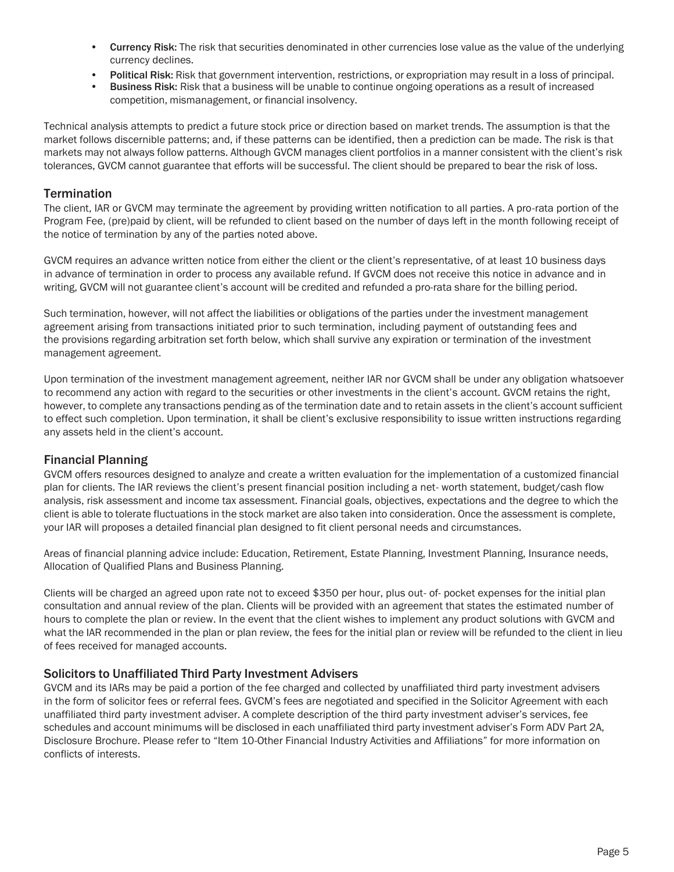- **Currency Risk:** The risk that securities denominated in other currencies lose value as the value of the underlying currency declines.
- Political Risk: Risk that government intervention, restrictions, or expropriation may result in a loss of principal.
- **Business Risk:** Risk that a business will be unable to continue ongoing operations as a result of increased competition, mismanagement, or financial insolvency.

Technical analysis attempts to predict a future stock price or direction based on market trends. The assumption is that the market follows discernible patterns; and, if these patterns can be identified, then a prediction can be made. The risk is that markets may not always follow patterns. Although GVCM manages client portfolios in a manner consistent with the client's risk tolerances, GVCM cannot guarantee that efforts will be successful. The client should be prepared to bear the risk of loss.

# **Termination**

The client, IAR or GVCM may terminate the agreement by providing written notification to all parties. A pro-rata portion of the Program Fee, (pre)paid by client, will be refunded to client based on the number of days left in the month following receipt of the notice of termination by any of the parties noted above.

GVCM requires an advance written notice from either the client or the client's representative, of at least 10 business days in advance of termination in order to process any available refund. If GVCM does not receive this notice in advance and in writing, GVCM will not guarantee client's account will be credited and refunded a pro-rata share for the billing period.

Such termination, however, will not affect the liabilities or obligations of the parties under the investment management agreement arising from transactions initiated prior to such termination, including payment of outstanding fees and the provisions regarding arbitration set forth below, which shall survive any expiration or termination of the investment management agreement.

Upon termination of the investment management agreement, neither IAR nor GVCM shall be under any obligation whatsoever to recommend any action with regard to the securities or other investments in the client's account. GVCM retains the right, however, to complete any transactions pending as of the termination date and to retain assets in the client's account sufficient to effect such completion. Upon termination, it shall be client's exclusive responsibility to issue written instructions regarding any assets held in the client's account.

# Financial Planning

GVCM offers resources designed to analyze and create a written evaluation for the implementation of a customized financial plan for clients. The IAR reviews the client's present financial position including a net- worth statement, budget/cash flow analysis, risk assessment and income tax assessment. Financial goals, objectives, expectations and the degree to which the client is able to tolerate fluctuations in the stock market are also taken into consideration. Once the assessment is complete, your IAR will proposes a detailed financial plan designed to fit client personal needs and circumstances.

Areas of financial planning advice include: Education, Retirement, Estate Planning, Investment Planning, Insurance needs, Allocation of Qualified Plans and Business Planning.

Clients will be charged an agreed upon rate not to exceed \$350 per hour, plus out- of- pocket expenses for the initial plan consultation and annual review of the plan. Clients will be provided with an agreement that states the estimated number of hours to complete the plan or review. In the event that the client wishes to implement any product solutions with GVCM and what the IAR recommended in the plan or plan review, the fees for the initial plan or review will be refunded to the client in lieu of fees received for managed accounts.

# Solicitors to Unaffiliated Third Party Investment Advisers

GVCM and its IARs may be paid a portion of the fee charged and collected by unaffiliated third party investment advisers in the form of solicitor fees or referral fees. GVCM's fees are negotiated and specified in the Solicitor Agreement with each unaffiliated third party investment adviser. A complete description of the third party investment adviser's services, fee schedules and account minimums will be disclosed in each unaffiliated third party investment adviser's Form ADV Part 2A, Disclosure Brochure. Please refer to "Item 10-Other Financial Industry Activities and Affiliations" for more information on conflicts of interests.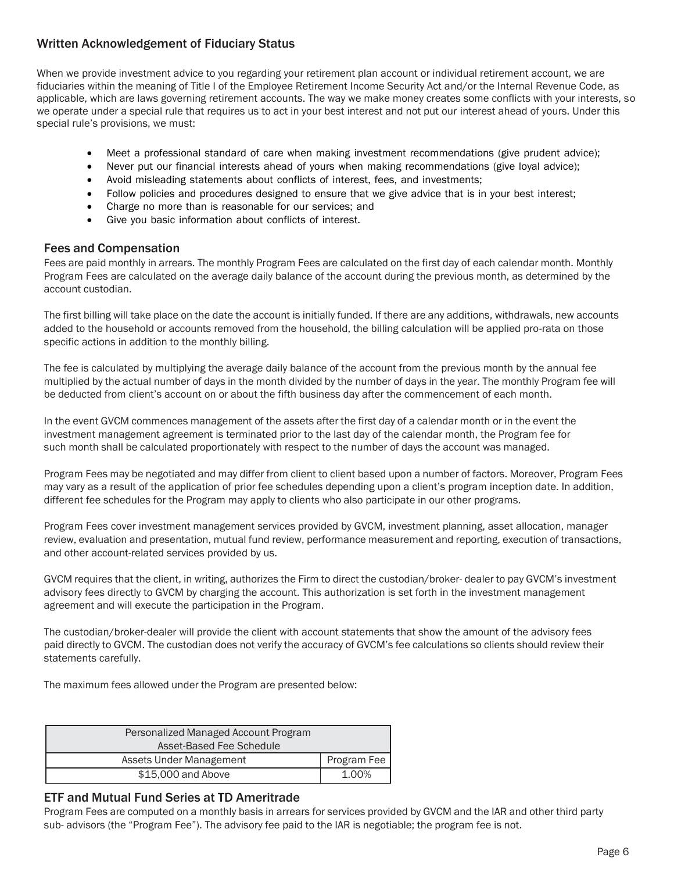# Written Acknowledgement of Fiduciary Status

When we provide investment advice to you regarding your retirement plan account or individual retirement account, we are fiduciaries within the meaning of Title I of the Employee Retirement Income Security Act and/or the Internal Revenue Code, as applicable, which are laws governing retirement accounts. The way we make money creates some conflicts with your interests, so we operate under a special rule that requires us to act in your best interest and not put our interest ahead of yours. Under this special rule's provisions, we must:

- Meet a professional standard of care when making investment recommendations (give prudent advice);
- Never put our financial interests ahead of yours when making recommendations (give loyal advice);
- Avoid misleading statements about conflicts of interest, fees, and investments;
- Follow policies and procedures designed to ensure that we give advice that is in your best interest;
- Charge no more than is reasonable for our services; and
- Give you basic information about conflicts of interest.

# Fees and Compensation

Fees are paid monthly in arrears. The monthly Program Fees are calculated on the first day of each calendar month. Monthly Program Fees are calculated on the average daily balance of the account during the previous month, as determined by the account custodian.

The first billing will take place on the date the account is initially funded. If there are any additions, withdrawals, new accounts added to the household or accounts removed from the household, the billing calculation will be applied pro-rata on those specific actions in addition to the monthly billing.

The fee is calculated by multiplying the average daily balance of the account from the previous month by the annual fee multiplied by the actual number of days in the month divided by the number of days in the year. The monthly Program fee will be deducted from client's account on or about the fifth business day after the commencement of each month.

In the event GVCM commences management of the assets after the first day of a calendar month or in the event the investment management agreement is terminated prior to the last day of the calendar month, the Program fee for such month shall be calculated proportionately with respect to the number of days the account was managed.

Program Fees may be negotiated and may differ from client to client based upon a number of factors. Moreover, Program Fees may vary as a result of the application of prior fee schedules depending upon a client's program inception date. In addition, different fee schedules for the Program may apply to clients who also participate in our other programs.

Program Fees cover investment management services provided by GVCM, investment planning, asset allocation, manager review, evaluation and presentation, mutual fund review, performance measurement and reporting, execution of transactions, and other account-related services provided by us.

GVCM requires that the client, in writing, authorizes the Firm to direct the custodian/broker- dealer to pay GVCM's investment advisory fees directly to GVCM by charging the account. This authorization is set forth in the investment management agreement and will execute the participation in the Program.

The custodian/broker-dealer will provide the client with account statements that show the amount of the advisory fees paid directly to GVCM. The custodian does not verify the accuracy of GVCM's fee calculations so clients should review their statements carefully.

The maximum fees allowed under the Program are presented below:

| Personalized Managed Account Program |             |
|--------------------------------------|-------------|
| Asset-Based Fee Schedule             |             |
| Assets Under Management              | Program Fee |
| \$15,000 and Above                   | 1.00%       |

# ETF and Mutual Fund Series at TD Ameritrade

Program Fees are computed on a monthly basis in arrears for services provided by GVCM and the IAR and other third party sub- advisors (the "Program Fee"). The advisory fee paid to the IAR is negotiable; the program fee is not.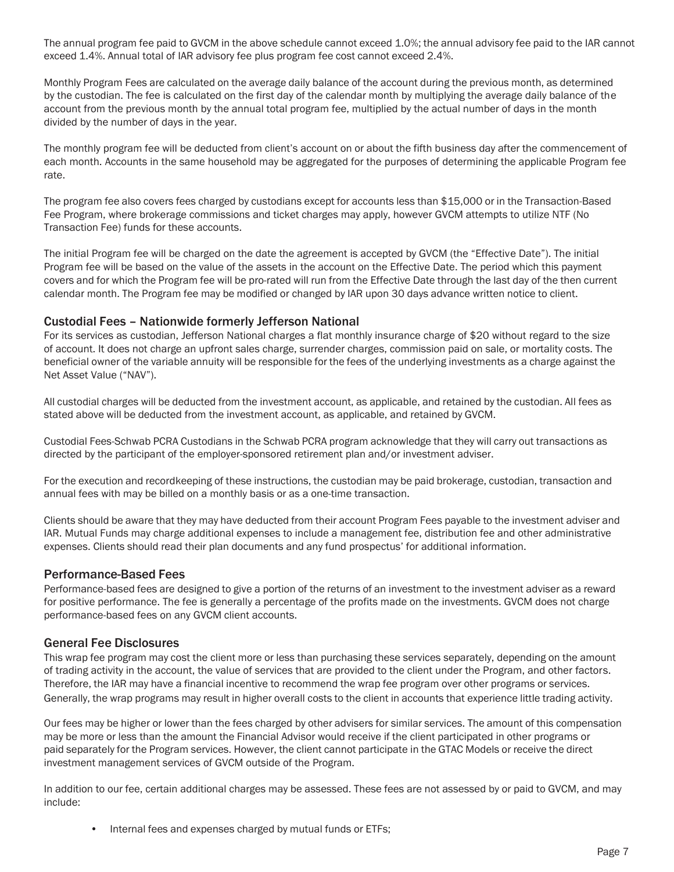The annual program fee paid to GVCM in the above schedule cannot exceed 1.0%; the annual advisory fee paid to the IAR cannot exceed 1.4%. Annual total of IAR advisory fee plus program fee cost cannot exceed 2.4%.

Monthly Program Fees are calculated on the average daily balance of the account during the previous month, as determined by the custodian. The fee is calculated on the first day of the calendar month by multiplying the average daily balance of the account from the previous month by the annual total program fee, multiplied by the actual number of days in the month divided by the number of days in the year.

The monthly program fee will be deducted from client's account on or about the fifth business day after the commencement of each month. Accounts in the same household may be aggregated for the purposes of determining the applicable Program fee rate.

The program fee also covers fees charged by custodians except for accounts less than \$15,000 or in the Transaction-Based Fee Program, where brokerage commissions and ticket charges may apply, however GVCM attempts to utilize NTF (No Transaction Fee) funds for these accounts.

The initial Program fee will be charged on the date the agreement is accepted by GVCM (the "Effective Date"). The initial Program fee will be based on the value of the assets in the account on the Effective Date. The period which this payment covers and for which the Program fee will be pro-rated will run from the Effective Date through the last day of the then current calendar month. The Program fee may be modified or changed by IAR upon 30 days advance written notice to client.

# Custodial Fees – Nationwide formerly Jefferson National

For its services as custodian, Jefferson National charges a flat monthly insurance charge of \$20 without regard to the size of account. It does not charge an upfront sales charge, surrender charges, commission paid on sale, or mortality costs. The beneficial owner of the variable annuity will be responsible for the fees of the underlying investments as a charge against the Net Asset Value ("NAV").

All custodial charges will be deducted from the investment account, as applicable, and retained by the custodian. All fees as stated above will be deducted from the investment account, as applicable, and retained by GVCM.

Custodial Fees-Schwab PCRA Custodians in the Schwab PCRA program acknowledge that they will carry out transactions as directed by the participant of the employer-sponsored retirement plan and/or investment adviser.

For the execution and recordkeeping of these instructions, the custodian may be paid brokerage, custodian, transaction and annual fees with may be billed on a monthly basis or as a one-time transaction.

Clients should be aware that they may have deducted from their account Program Fees payable to the investment adviser and IAR. Mutual Funds may charge additional expenses to include a management fee, distribution fee and other administrative expenses. Clients should read their plan documents and any fund prospectus' for additional information.

# Performance-Based Fees

Performance-based fees are designed to give a portion of the returns of an investment to the investment adviser as a reward for positive performance. The fee is generally a percentage of the profits made on the investments. GVCM does not charge performance-based fees on any GVCM client accounts.

# General Fee Disclosures

This wrap fee program may cost the client more or less than purchasing these services separately, depending on the amount of trading activity in the account, the value of services that are provided to the client under the Program, and other factors. Therefore, the IAR may have a financial incentive to recommend the wrap fee program over other programs or services. Generally, the wrap programs may result in higher overall costs to the client in accounts that experience little trading activity.

Our fees may be higher or lower than the fees charged by other advisers for similar services. The amount of this compensation may be more or less than the amount the Financial Advisor would receive if the client participated in other programs or paid separately for the Program services. However, the client cannot participate in the GTAC Models or receive the direct investment management services of GVCM outside of the Program.

In addition to our fee, certain additional charges may be assessed. These fees are not assessed by or paid to GVCM, and may include:

• Internal fees and expenses charged by mutual funds or ETFs;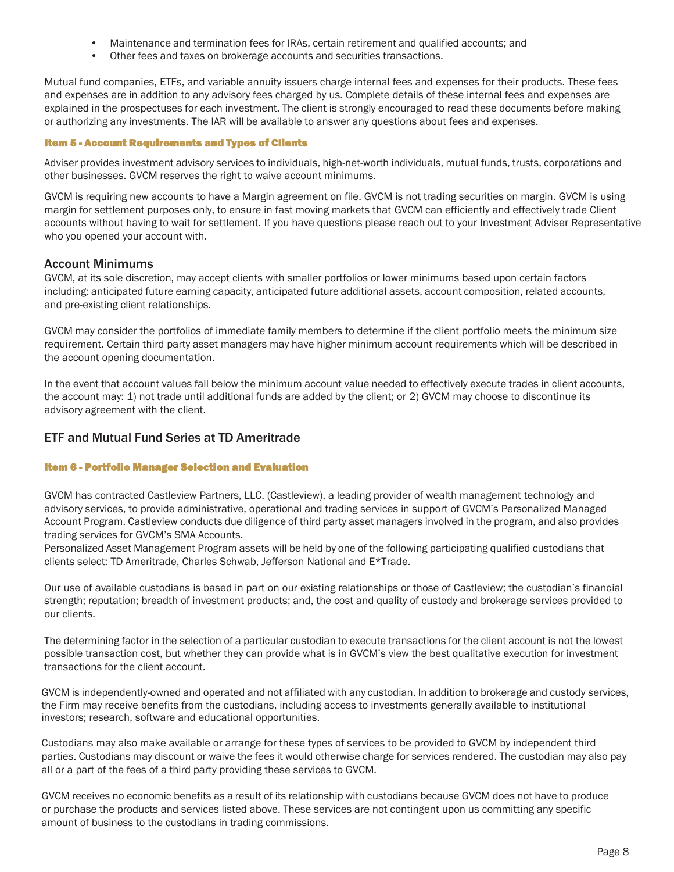- Maintenance and termination fees for IRAs, certain retirement and qualified accounts; and
- Other fees and taxes on brokerage accounts and securities transactions.

Mutual fund companies, ETFs, and variable annuity issuers charge internal fees and expenses for their products. These fees and expenses are in addition to any advisory fees charged by us. Complete details of these internal fees and expenses are explained in the prospectuses for each investment. The client is strongly encouraged to read these documents before making or authorizing any investments. The IAR will be available to answer any questions about fees and expenses.

### Item 5 - Account Requirements and Types of Clients

Adviser provides investment advisory services to individuals, high-net-worth individuals, mutual funds, trusts, corporations and other businesses. GVCM reserves the right to waive account minimums.

GVCM is requiring new accounts to have a Margin agreement on file. GVCM is not trading securities on margin. GVCM is using margin for settlement purposes only, to ensure in fast moving markets that GVCM can efficiently and effectively trade Client accounts without having to wait for settlement. If you have questions please reach out to your Investment Adviser Representative who you opened your account with.

# Account Minimums

GVCM, at its sole discretion, may accept clients with smaller portfolios or lower minimums based upon certain factors including: anticipated future earning capacity, anticipated future additional assets, account composition, related accounts, and pre-existing client relationships.

GVCM may consider the portfolios of immediate family members to determine if the client portfolio meets the minimum size requirement. Certain third party asset managers may have higher minimum account requirements which will be described in the account opening documentation.

In the event that account values fall below the minimum account value needed to effectively execute trades in client accounts, the account may: 1) not trade until additional funds are added by the client; or 2) GVCM may choose to discontinue its advisory agreement with the client.

# ETF and Mutual Fund Series at TD Ameritrade

# Item 6 - Portfolio Manager Selection and Evaluation

GVCM has contracted Castleview Partners, LLC. (Castleview), a leading provider of wealth management technology and advisory services, to provide administrative, operational and trading services in support of GVCM's Personalized Managed Account Program. Castleview conducts due diligence of third party asset managers involved in the program, and also provides trading services for GVCM's SMA Accounts.

Personalized Asset Management Program assets will be held by one of the following participating qualified custodians that clients select: TD Ameritrade, Charles Schwab, Jefferson National and E\*Trade.

Our use of available custodians is based in part on our existing relationships or those of Castleview; the custodian's financial strength; reputation; breadth of investment products; and, the cost and quality of custody and brokerage services provided to our clients.

The determining factor in the selection of a particular custodian to execute transactions for the client account is not the lowest possible transaction cost, but whether they can provide what is in GVCM's view the best qualitative execution for investment transactions for the client account.

GVCM is independently-owned and operated and not affiliated with any custodian. In addition to brokerage and custody services, the Firm may receive benefits from the custodians, including access to investments generally available to institutional investors; research, software and educational opportunities.

Custodians may also make available or arrange for these types of services to be provided to GVCM by independent third parties. Custodians may discount or waive the fees it would otherwise charge for services rendered. The custodian may also pay all or a part of the fees of a third party providing these services to GVCM.

GVCM receives no economic benefits as a result of its relationship with custodians because GVCM does not have to produce or purchase the products and services listed above. These services are not contingent upon us committing any specific amount of business to the custodians in trading commissions.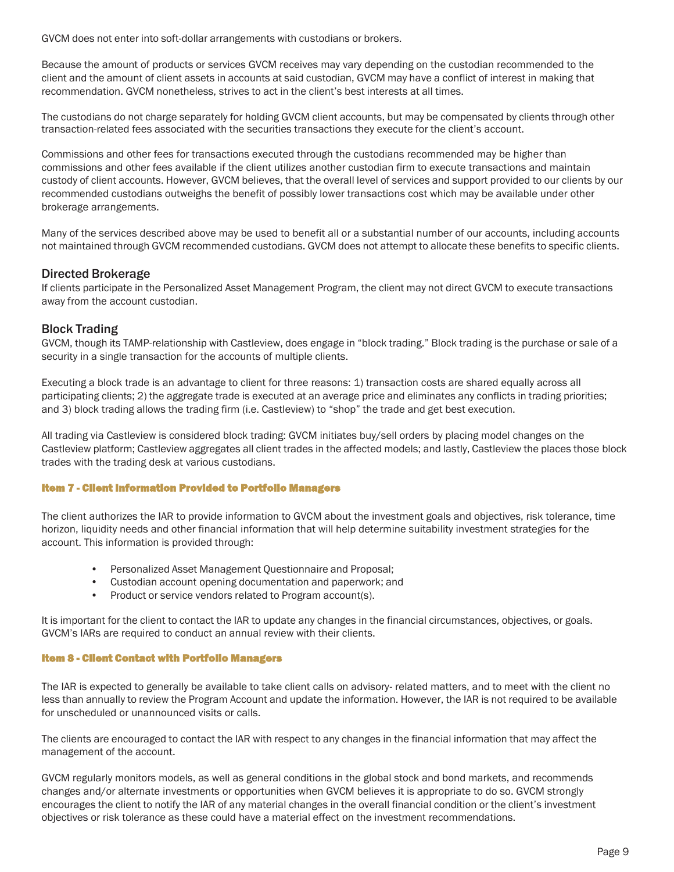GVCM does not enter into soft-dollar arrangements with custodians or brokers.

Because the amount of products or services GVCM receives may vary depending on the custodian recommended to the client and the amount of client assets in accounts at said custodian, GVCM may have a conflict of interest in making that recommendation. GVCM nonetheless, strives to act in the client's best interests at all times.

The custodians do not charge separately for holding GVCM client accounts, but may be compensated by clients through other transaction-related fees associated with the securities transactions they execute for the client's account.

Commissions and other fees for transactions executed through the custodians recommended may be higher than commissions and other fees available if the client utilizes another custodian firm to execute transactions and maintain custody of client accounts. However, GVCM believes, that the overall level of services and support provided to our clients by our recommended custodians outweighs the benefit of possibly lower transactions cost which may be available under other brokerage arrangements.

Many of the services described above may be used to benefit all or a substantial number of our accounts, including accounts not maintained through GVCM recommended custodians. GVCM does not attempt to allocate these benefits to specific clients.

### Directed Brokerage

If clients participate in the Personalized Asset Management Program, the client may not direct GVCM to execute transactions away from the account custodian.

### Block Trading

GVCM, though its TAMP-relationship with Castleview, does engage in "block trading." Block trading is the purchase or sale of a security in a single transaction for the accounts of multiple clients.

Executing a block trade is an advantage to client for three reasons: 1) transaction costs are shared equally across all participating clients; 2) the aggregate trade is executed at an average price and eliminates any conflicts in trading priorities; and 3) block trading allows the trading firm (i.e. Castleview) to "shop" the trade and get best execution.

All trading via Castleview is considered block trading: GVCM initiates buy/sell orders by placing model changes on the Castleview platform; Castleview aggregates all client trades in the affected models; and lastly, Castleview the places those block trades with the trading desk at various custodians.

### Item 7 - Client Information Provided to Portfolio Managers

The client authorizes the IAR to provide information to GVCM about the investment goals and objectives, risk tolerance, time horizon, liquidity needs and other financial information that will help determine suitability investment strategies for the account. This information is provided through:

- Personalized Asset Management Questionnaire and Proposal;
- Custodian account opening documentation and paperwork; and
- Product or service vendors related to Program account(s).

It is important for the client to contact the IAR to update any changes in the financial circumstances, objectives, or goals. GVCM's IARs are required to conduct an annual review with their clients.

#### Item 8 - Client Contact with Portfolio Managers

The IAR is expected to generally be available to take client calls on advisory- related matters, and to meet with the client no less than annually to review the Program Account and update the information. However, the IAR is not required to be available for unscheduled or unannounced visits or calls.

The clients are encouraged to contact the IAR with respect to any changes in the financial information that may affect the management of the account.

GVCM regularly monitors models, as well as general conditions in the global stock and bond markets, and recommends changes and/or alternate investments or opportunities when GVCM believes it is appropriate to do so. GVCM strongly encourages the client to notify the IAR of any material changes in the overall financial condition or the client's investment objectives or risk tolerance as these could have a material effect on the investment recommendations.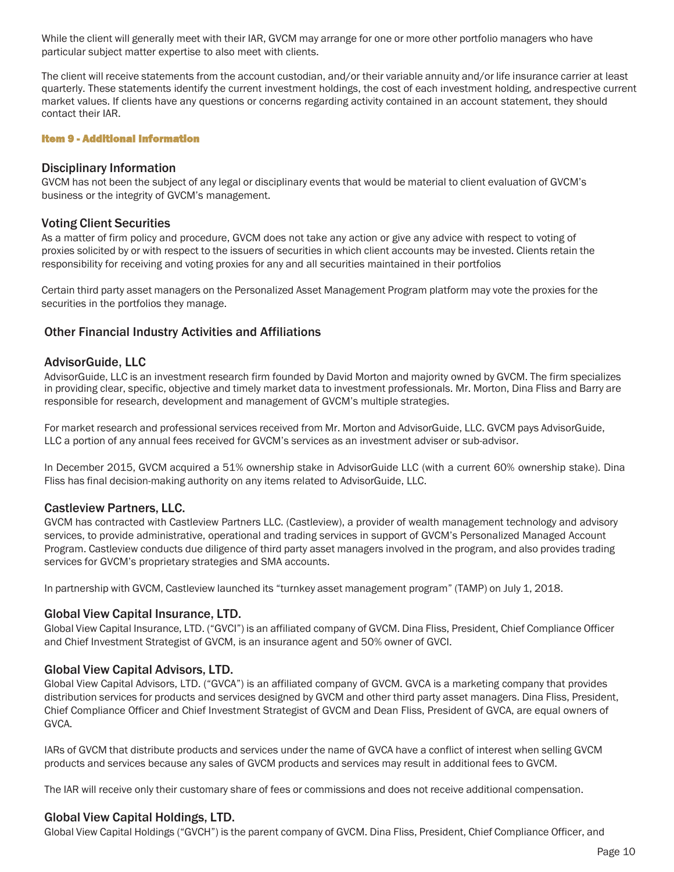While the client will generally meet with their IAR, GVCM may arrange for one or more other portfolio managers who have particular subject matter expertise to also meet with clients.

The client will receive statements from the account custodian, and/or their variable annuity and/or life insurance carrier at least quarterly. These statements identify the current investment holdings, the cost of each investment holding, andrespective current market values. If clients have any questions or concerns regarding activity contained in an account statement, they should contact their IAR.

Item 9 - Additional Information

# Disciplinary Information

GVCM has not been the subject of any legal or disciplinary events that would be material to client evaluation of GVCM's business or the integrity of GVCM's management.

### Voting Client Securities

As a matter of firm policy and procedure, GVCM does not take any action or give any advice with respect to voting of proxies solicited by or with respect to the issuers of securities in which client accounts may be invested. Clients retain the responsibility for receiving and voting proxies for any and all securities maintained in their portfolios

Certain third party asset managers on the Personalized Asset Management Program platform may vote the proxies for the securities in the portfolios they manage.

# Other Financial Industry Activities and Affiliations

# AdvisorGuide, LLC

AdvisorGuide, LLC is an investment research firm founded by David Morton and majority owned by GVCM. The firm specializes in providing clear, specific, objective and timely market data to investment professionals. Mr. Morton, Dina Fliss and Barry are responsible for research, development and management of GVCM's multiple strategies.

For market research and professional services received from Mr. Morton and AdvisorGuide, LLC. GVCM pays AdvisorGuide, LLC a portion of any annual fees received for GVCM's services as an investment adviser or sub-advisor.

In December 2015, GVCM acquired a 51% ownership stake in AdvisorGuide LLC (with a current 60% ownership stake). Dina Fliss has final decision-making authority on any items related to AdvisorGuide, LLC.

# Castleview Partners, LLC.

GVCM has contracted with Castleview Partners LLC. (Castleview), a provider of wealth management technology and advisory services, to provide administrative, operational and trading services in support of GVCM's Personalized Managed Account Program. Castleview conducts due diligence of third party asset managers involved in the program, and also provides trading services for GVCM's proprietary strategies and SMA accounts.

In partnership with GVCM, Castleview launched its "turnkey asset management program" (TAMP) on July 1, 2018.

# Global View Capital Insurance, LTD.

Global View Capital Insurance, LTD. ("GVCI") is an affiliated company of GVCM. Dina Fliss, President, Chief Compliance Officer and Chief Investment Strategist of GVCM, is an insurance agent and 50% owner of GVCI.

# Global View Capital Advisors, LTD.

Global View Capital Advisors, LTD. ("GVCA") is an affiliated company of GVCM. GVCA is a marketing company that provides distribution services for products and services designed by GVCM and other third party asset managers. Dina Fliss, President, Chief Compliance Officer and Chief Investment Strategist of GVCM and Dean Fliss, President of GVCA, are equal owners of GVCA.

IARs of GVCM that distribute products and services under the name of GVCA have a conflict of interest when selling GVCM products and services because any sales of GVCM products and services may result in additional fees to GVCM.

The IAR will receive only their customary share of fees or commissions and does not receive additional compensation.

# Global View Capital Holdings, LTD.

Global View Capital Holdings ("GVCH") is the parent company of GVCM. Dina Fliss, President, Chief Compliance Officer, and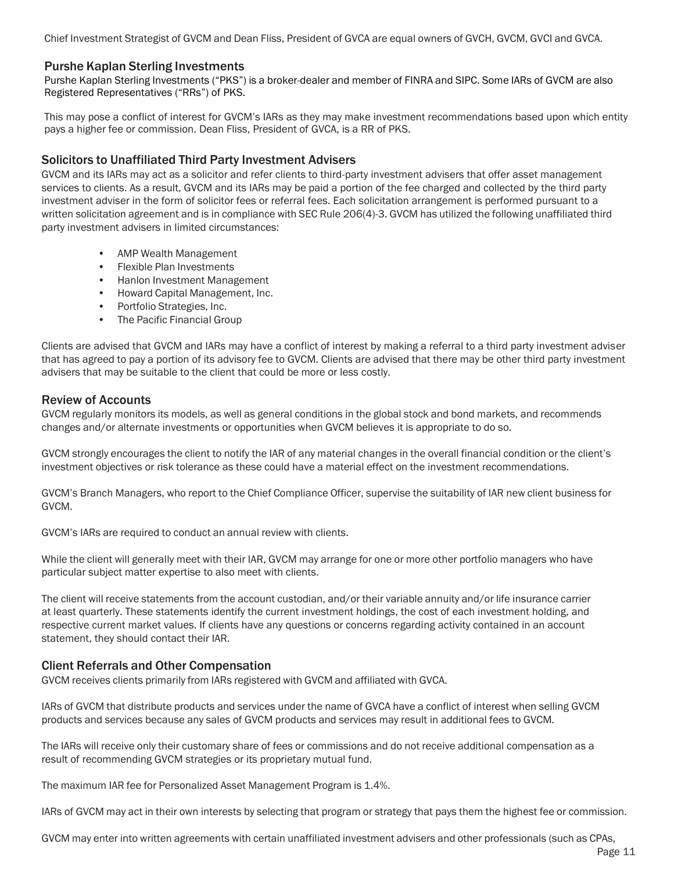Chief Investment Strategist of GVCM and Dean Fliss, President of GVCA are equal owners of GVCH, GVCM, GVCI and GVCA.

# Purshe Kaplan Sterling Investments

Purshe Kaplan Sterling Investments ("PKS") is a broker-dealer and member of FINRA and SIPC. Some IARs of GVCM are also Registered Representatives ("RRs") of PKS.

This may pose a conflict of interest for GVCM's IARs as they may make investment recommendations based upon which entity pays a higher fee or commission. Dean Fliss, President of GVCA, is a RR of PKS.

# Solicitors to Unaffiliated Third Party Investment Advisers

GVCM and its IARs may act as a solicitor and refer clients to third-party investment advisers that offer asset management services to clients. As a result, GVCM and its IARs may be paid a portion of the fee charged and collected by the third party investment adviser in the form of solicitor fees or referral fees. Each solicitation arrangement is performed pursuant to a written solicitation agreement and is in compliance with SEC Rule 206(4)-3. GVCM has utilized the following unaffiliated third party investment advisers in limited circumstances:

- AMP Wealth Management
- Flexible Plan Investments
- Hanlon Investment Management
- Howard Capital Management, Inc.
- Portfolio Strategies, Inc.
- The Pacific Financial Group

Clients are advised that GVCM and IARs may have a conflict of interest by making a referral to a third party investment adviser that has agreed to pay a portion of its advisory fee to GVCM. Clients are advised that there may be other third party investment advisers that may be suitable to the client that could be more or less costly.

# Review of Accounts

GVCM regularly monitors its models, as well as general conditions in the global stock and bond markets, and recommends changes and/or alternate investments or opportunities when GVCM believes it is appropriate to do so.

GVCM strongly encourages the client to notify the IAR of any material changes in the overall financial condition or the client's investment objectives or risk tolerance as these could have a material effect on the investment recommendations.

GVCM's Branch Managers, who report to the Chief Compliance Officer, supervise the suitability of IAR new client business for GVCM.

GVCM's IARs are required to conduct an annual review with clients.

While the client will generally meet with their IAR, GVCM may arrange for one or more other portfolio managers who have particular subject matter expertise to also meet with clients.

The client will receive statements from the account custodian, and/or their variable annuity and/or life insurance carrier at least quarterly. These statements identify the current investment holdings, the cost of each investment holding, and respective current market values. If clients have any questions or concerns regarding activity contained in an account statement, they should contact their IAR.

# Client Referrals and Other Compensation

GVCM receives clients primarily from IARs registered with GVCM and affiliated with GVCA.

IARs of GVCM that distribute products and services under the name of GVCA have a conflict of interest when selling GVCM products and services because any sales of GVCM products and services may result in additional fees to GVCM.

The IARs will receive only their customary share of fees or commissions and do not receive additional compensation as a result of recommending GVCM strategies or its proprietary mutual fund.

The maximum IAR fee for Personalized Asset Management Program is 1.4%.

IARs of GVCM may act in their own interests by selecting that program or strategy that pays them the highest fee or commission.

GVCM may enter into written agreements with certain unaffiliated investment advisers and other professionals (such as CPAs,